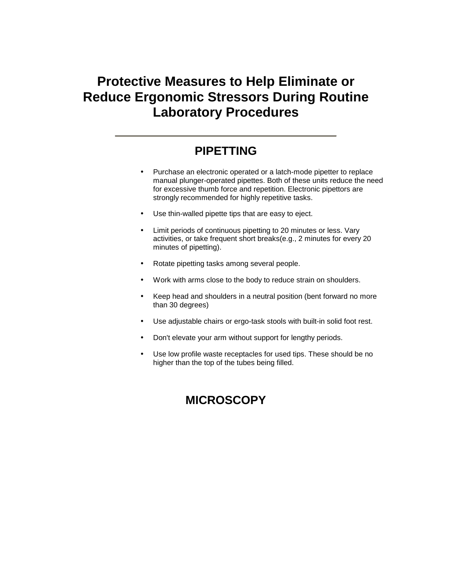# **Protective Measures to Help Eliminate or Reduce Ergonomic Stressors During Routine Laboratory Procedures**

#### **PIPETTING**

- Purchase an electronic operated or a latch-mode pipetter to replace manual plunger-operated pipettes. Both of these units reduce the need for excessive thumb force and repetition. Electronic pipettors are strongly recommended for highly repetitive tasks.
- Use thin-walled pipette tips that are easy to eject.
- Limit periods of continuous pipetting to 20 minutes or less. Vary activities, or take frequent short breaks(e.g., 2 minutes for every 20 minutes of pipetting).
- Rotate pipetting tasks among several people.
- Work with arms close to the body to reduce strain on shoulders.
- Keep head and shoulders in a neutral position (bent forward no more than 30 degrees)
- Use adjustable chairs or ergo-task stools with built-in solid foot rest.
- Don't elevate your arm without support for lengthy periods.
- Use low profile waste receptacles for used tips. These should be no higher than the top of the tubes being filled.

#### **MICROSCOPY**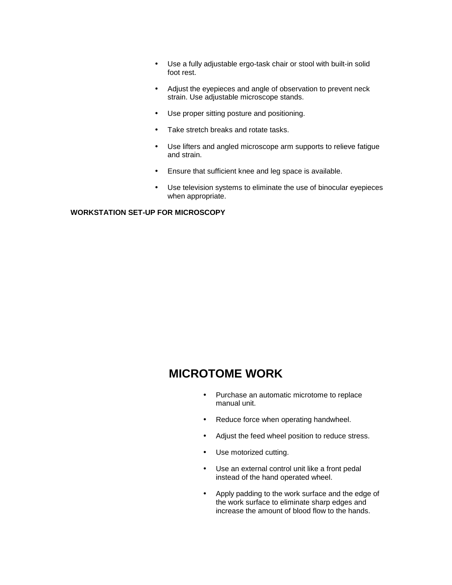- Use a fully adjustable ergo-task chair or stool with built-in solid foot rest.
- Adjust the eyepieces and angle of observation to prevent neck strain. Use adjustable microscope stands.
- Use proper sitting posture and positioning.
- Take stretch breaks and rotate tasks.
- Use lifters and angled microscope arm supports to relieve fatigue and strain.
- Ensure that sufficient knee and leg space is available.
- Use television systems to eliminate the use of binocular eyepieces when appropriate.

#### **WORKSTATION SET-UP FOR MICROSCOPY**

#### **MICROTOME WORK**

- Purchase an automatic microtome to replace manual unit.
- Reduce force when operating handwheel.
- Adjust the feed wheel position to reduce stress.
- Use motorized cutting.
- Use an external control unit like a front pedal instead of the hand operated wheel.
- Apply padding to the work surface and the edge of the work surface to eliminate sharp edges and increase the amount of blood flow to the hands.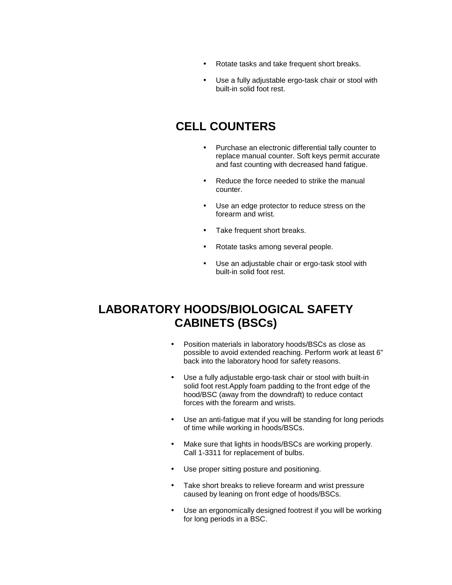- Rotate tasks and take frequent short breaks.
- Use a fully adjustable ergo-task chair or stool with built-in solid foot rest.

#### **CELL COUNTERS**

- Purchase an electronic differential tally counter to replace manual counter. Soft keys permit accurate and fast counting with decreased hand fatigue.
- Reduce the force needed to strike the manual counter.
- Use an edge protector to reduce stress on the forearm and wrist.
- Take frequent short breaks.
- Rotate tasks among several people.
- Use an adjustable chair or ergo-task stool with built-in solid foot rest.

#### **LABORATORY HOODS/BIOLOGICAL SAFETY CABINETS (BSCs)**

- Position materials in laboratory hoods/BSCs as close as possible to avoid extended reaching. Perform work at least 6" back into the laboratory hood for safety reasons.
- Use a fully adjustable ergo-task chair or stool with built-in solid foot rest.Apply foam padding to the front edge of the hood/BSC (away from the downdraft) to reduce contact forces with the forearm and wrists.
- Use an anti-fatigue mat if you will be standing for long periods of time while working in hoods/BSCs.
- Make sure that lights in hoods/BSCs are working properly. Call 1-3311 for replacement of bulbs.
- Use proper sitting posture and positioning.
- Take short breaks to relieve forearm and wrist pressure caused by leaning on front edge of hoods/BSCs.
- Use an ergonomically designed footrest if you will be working for long periods in a BSC.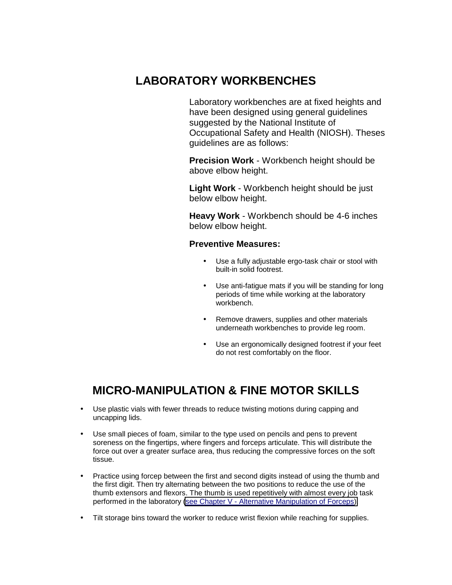#### **LABORATORY WORKBENCHES**

Laboratory workbenches are at fixed heights and have been designed using general guidelines suggested by the National Institute of Occupational Safety and Health (NIOSH). Theses guidelines are as follows:

**Precision Work** - Workbench height should be above elbow height.

**Light Work** - Workbench height should be just below elbow height.

**Heavy Work** - Workbench should be 4-6 inches below elbow height.

#### **Preventive Measures:**

- Use a fully adjustable ergo-task chair or stool with built-in solid footrest.
- Use anti-fatigue mats if you will be standing for long periods of time while working at the laboratory workbench.
- Remove drawers, supplies and other materials underneath workbenches to provide leg room.
- Use an ergonomically designed footrest if your feet do not rest comfortably on the floor.

#### **MICRO-MANIPULATION & FINE MOTOR SKILLS**

- Use plastic vials with fewer threads to reduce twisting motions during capping and uncapping lids.
- Use small pieces of foam, similar to the type used on pencils and pens to prevent soreness on the fingertips, where fingers and forceps articulate. This will distribute the force out over a greater surface area, thus reducing the compressive forces on the soft tissue.
- Practice using forcep between the first and second digits instead of using the thumb and the first digit. Then try alternating between the two positions to reduce the use of the thumb extensors and flexors. The thumb is used repetitively with almost every job task performed in the laboratory [\(see Chapter V - Alternative Manipulation of Forceps\).](http://www.niehs.nih.gov/odhsb/ergoguid/chapv.htm)
- Tilt storage bins toward the worker to reduce wrist flexion while reaching for supplies.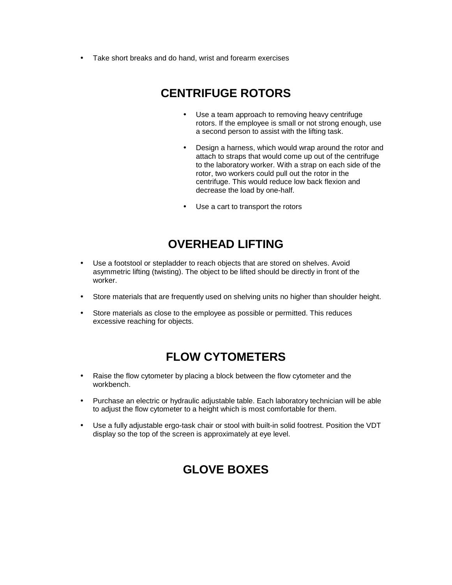• Take short breaks and do hand, wrist and forearm exercises

## **CENTRIFUGE ROTORS**

- Use a team approach to removing heavy centrifuge rotors. If the employee is small or not strong enough, use a second person to assist with the lifting task.
- Design a harness, which would wrap around the rotor and attach to straps that would come up out of the centrifuge to the laboratory worker. With a strap on each side of the rotor, two workers could pull out the rotor in the centrifuge. This would reduce low back flexion and decrease the load by one-half.
- Use a cart to transport the rotors

#### **OVERHEAD LIFTING**

- Use a footstool or stepladder to reach objects that are stored on shelves. Avoid asymmetric lifting (twisting). The object to be lifted should be directly in front of the worker.
- Store materials that are frequently used on shelving units no higher than shoulder height.
- Store materials as close to the employee as possible or permitted. This reduces excessive reaching for objects.

#### **FLOW CYTOMETERS**

- Raise the flow cytometer by placing a block between the flow cytometer and the workbench.
- Purchase an electric or hydraulic adjustable table. Each laboratory technician will be able to adjust the flow cytometer to a height which is most comfortable for them.
- Use a fully adjustable ergo-task chair or stool with built-in solid footrest. Position the VDT display so the top of the screen is approximately at eye level.

#### **GLOVE BOXES**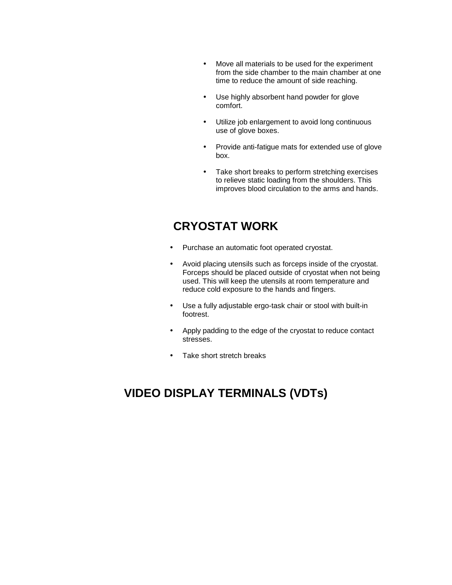- Move all materials to be used for the experiment from the side chamber to the main chamber at one time to reduce the amount of side reaching.
- Use highly absorbent hand powder for glove comfort.
- Utilize job enlargement to avoid long continuous use of glove boxes.
- Provide anti-fatigue mats for extended use of glove box.
- Take short breaks to perform stretching exercises to relieve static loading from the shoulders. This improves blood circulation to the arms and hands.

### **CRYOSTAT WORK**

- Purchase an automatic foot operated cryostat.
- Avoid placing utensils such as forceps inside of the cryostat. Forceps should be placed outside of cryostat when not being used. This will keep the utensils at room temperature and reduce cold exposure to the hands and fingers.
- Use a fully adjustable ergo-task chair or stool with built-in footrest.
- Apply padding to the edge of the cryostat to reduce contact stresses.
- Take short stretch breaks

## **VIDEO DISPLAY TERMINALS (VDTs)**